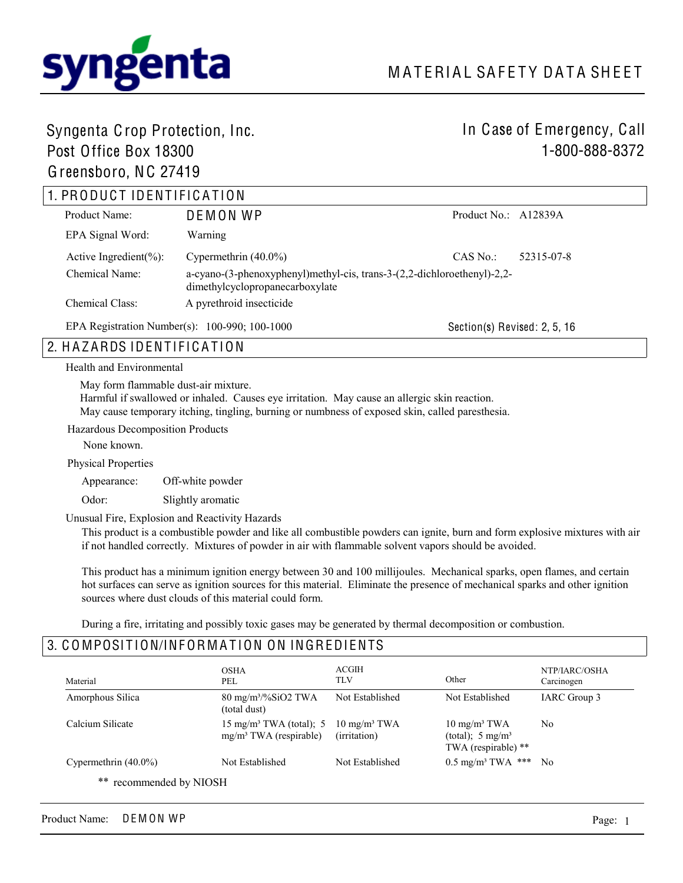

# Syngenta Crop Protection, Inc. Post Office Box 18300

Greensboro, NC 27419

# In Case of Emergency, Call 1-800-888-8372

| 1. PRODUCT IDENTIFICATION   |                                                                                                            |                              |  |
|-----------------------------|------------------------------------------------------------------------------------------------------------|------------------------------|--|
| Product Name:               | DEMON WP                                                                                                   | Product No.: $A12839A$       |  |
| EPA Signal Word:            | Warning                                                                                                    |                              |  |
| Active Ingredient $(\% )$ : | Cypermethrin $(40.0\%)$                                                                                    | $CAS$ No.:<br>52315-07-8     |  |
| Chemical Name:              | a-cyano-(3-phenoxyphenyl)methyl-cis, trans-3-(2,2-dichloroethenyl)-2,2-<br>dimethylcyclopropanecarboxylate |                              |  |
| Chemical Class:             | A pyrethroid insecticide                                                                                   |                              |  |
|                             | EPA Registration Number(s): $100-990$ ; $100-1000$                                                         | Section(s) Revised: 2, 5, 16 |  |

## 2. HAZARDS IDENTIFICATION

Health and Environmental

May form flammable dust-air mixture.

Harmful if swallowed or inhaled. Causes eye irritation. May cause an allergic skin reaction.

May cause temporary itching, tingling, burning or numbness of exposed skin, called paresthesia.

Hazardous Decomposition Products

None known.

Physical Properties

Appearance: Off-white powder

Odor: Slightly aromatic

Unusual Fire, Explosion and Reactivity Hazards

This product is a combustible powder and like all combustible powders can ignite, burn and form explosive mixtures with air if not handled correctly. Mixtures of powder in air with flammable solvent vapors should be avoided.

This product has a minimum ignition energy between 30 and 100 millijoules. Mechanical sparks, open flames, and certain hot surfaces can serve as ignition sources for this material. Eliminate the presence of mechanical sparks and other ignition sources where dust clouds of this material could form.

During a fire, irritating and possibly toxic gases may be generated by thermal decomposition or combustion.

### 3. COMPOSITION/INFORMATION ON INGREDIENTS

| Material                | <b>OSHA</b><br>PEL                                                        | <b>ACGIH</b><br>TLV                     | Other                                                                           | NTP/IARC/OSHA<br>Carcinogen |
|-------------------------|---------------------------------------------------------------------------|-----------------------------------------|---------------------------------------------------------------------------------|-----------------------------|
| Amorphous Silica        | $80 \text{ mg/m}^3/\text{\%SiO2}$ TWA<br>(total dust)                     | Not Established                         | Not Established                                                                 | IARC Group 3                |
| Calcium Silicate        | 15 mg/m <sup>3</sup> TWA (total); 5<br>mg/m <sup>3</sup> TWA (respirable) | $10 \text{ mg/m}^3$ TWA<br>(irritation) | $10 \text{ mg/m}^3$ TWA<br>(total); $5 \text{ mg/m}^3$<br>TWA (respirable) $**$ | N <sub>0</sub>              |
| Cypermethrin $(40.0\%)$ | Not Established                                                           | Not Established                         | $0.5 \text{ mg/m}^3$ TWA ***                                                    | - No                        |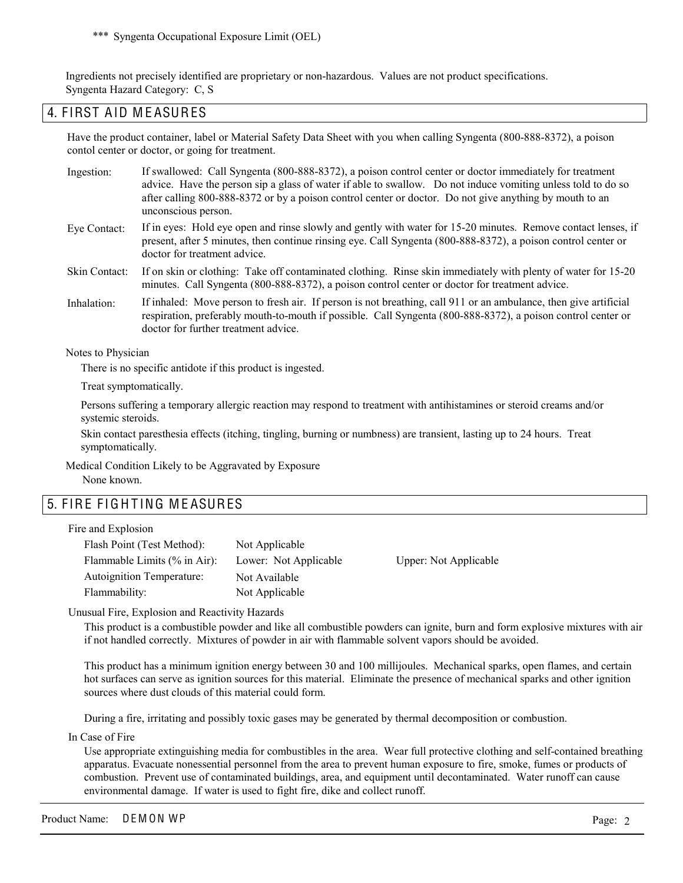\*\*\* Syngenta Occupational Exposure Limit (OEL)

Ingredients not precisely identified are proprietary or non-hazardous. Values are not product specifications. Syngenta Hazard Category: C, S

### 4. FIRST AID MEASURES

Have the product container, label or Material Safety Data Sheet with you when calling Syngenta (800-888-8372), a poison contol center or doctor, or going for treatment.

- If swallowed: Call Syngenta (800-888-8372), a poison control center or doctor immediately for treatment advice. Have the person sip a glass of water if able to swallow. Do not induce vomiting unless told to do so after calling 800-888-8372 or by a poison control center or doctor. Do not give anything by mouth to an unconscious person. Ingestion:
- If in eyes: Hold eye open and rinse slowly and gently with water for 15-20 minutes. Remove contact lenses, if present, after 5 minutes, then continue rinsing eye. Call Syngenta (800-888-8372), a poison control center or doctor for treatment advice. Eye Contact:
- If on skin or clothing: Take off contaminated clothing. Rinse skin immediately with plenty of water for 15-20 minutes. Call Syngenta (800-888-8372), a poison control center or doctor for treatment advice. Skin Contact:
- If inhaled: Move person to fresh air. If person is not breathing, call 911 or an ambulance, then give artificial respiration, preferably mouth-to-mouth if possible. Call Syngenta (800-888-8372), a poison control center or doctor for further treatment advice. Inhalation:

Notes to Physician

There is no specific antidote if this product is ingested.

Treat symptomatically.

Persons suffering a temporary allergic reaction may respond to treatment with antihistamines or steroid creams and/or systemic steroids.

Skin contact paresthesia effects (itching, tingling, burning or numbness) are transient, lasting up to 24 hours. Treat symptomatically.

Medical Condition Likely to be Aggravated by Exposure None known.

### 5. FIRE FIGHTING MEASURES

Fire and Explosion

| Flash Point (Test Method):       | Not Applicable        |                       |
|----------------------------------|-----------------------|-----------------------|
| Flammable Limits $(\%$ in Air):  | Lower: Not Applicable | Upper: Not Applicable |
| <b>Autoignition Temperature:</b> | Not Available         |                       |
| Flammability:                    | Not Applicable        |                       |

Unusual Fire, Explosion and Reactivity Hazards

This product is a combustible powder and like all combustible powders can ignite, burn and form explosive mixtures with air if not handled correctly. Mixtures of powder in air with flammable solvent vapors should be avoided.

This product has a minimum ignition energy between 30 and 100 millijoules. Mechanical sparks, open flames, and certain hot surfaces can serve as ignition sources for this material. Eliminate the presence of mechanical sparks and other ignition sources where dust clouds of this material could form.

During a fire, irritating and possibly toxic gases may be generated by thermal decomposition or combustion.

In Case of Fire

Use appropriate extinguishing media for combustibles in the area. Wear full protective clothing and self-contained breathing apparatus. Evacuate nonessential personnel from the area to prevent human exposure to fire, smoke, fumes or products of combustion. Prevent use of contaminated buildings, area, and equipment until decontaminated. Water runoff can cause environmental damage. If water is used to fight fire, dike and collect runoff.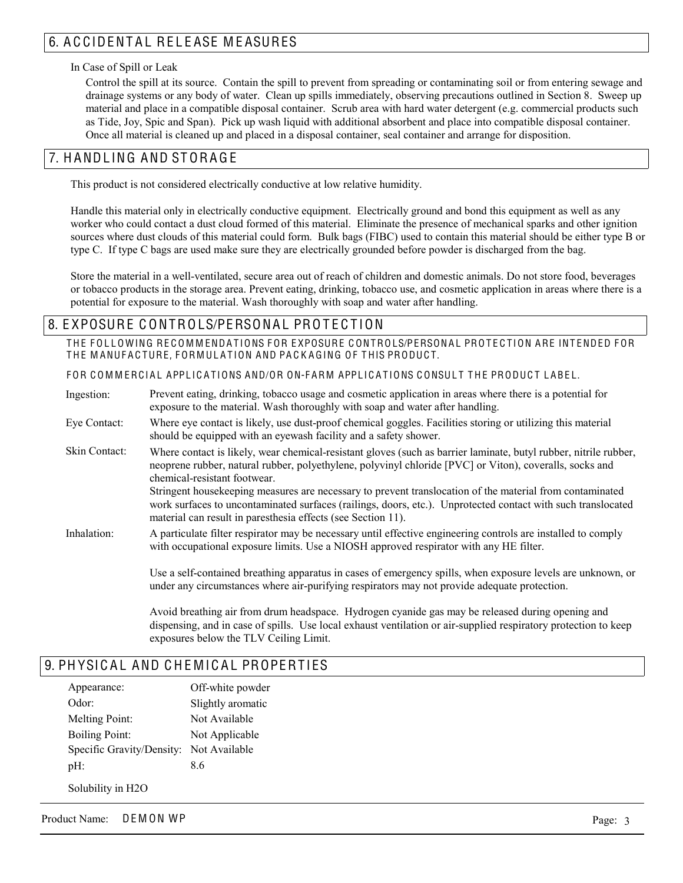# 6. A C CIDENTAL RELEASE MEASURES

#### In Case of Spill or Leak

Control the spill at its source. Contain the spill to prevent from spreading or contaminating soil or from entering sewage and drainage systems or any body of water. Clean up spills immediately, observing precautions outlined in Section 8. Sweep up material and place in a compatible disposal container. Scrub area with hard water detergent (e.g. commercial products such as Tide, Joy, Spic and Span). Pick up wash liquid with additional absorbent and place into compatible disposal container. Once all material is cleaned up and placed in a disposal container, seal container and arrange for disposition.

### 7. H ANDL ING AND ST ORA G E

This product is not considered electrically conductive at low relative humidity.

Handle this material only in electrically conductive equipment. Electrically ground and bond this equipment as well as any worker who could contact a dust cloud formed of this material. Eliminate the presence of mechanical sparks and other ignition sources where dust clouds of this material could form. Bulk bags (FIBC) used to contain this material should be either type B or type C. If type C bags are used make sure they are electrically grounded before powder is discharged from the bag.

Store the material in a well-ventilated, secure area out of reach of children and domestic animals. Do not store food, beverages or tobacco products in the storage area. Prevent eating, drinking, tobacco use, and cosmetic application in areas where there is a potential for exposure to the material. Wash thoroughly with soap and water after handling.

### 8. EXPOSURE CONTROLS/PERSONAL PROTECTION

THE FOLLOWING RECOMMENDATIONS FOR EXPOSURE CONTROLS/PERSONAL PROTECTION ARE INTENDED FOR THE MANUFACTURE, FORMULATION AND PACKAGING OF THIS PRODUCT.

FOR COMMERCIAL APPLICATIONS AND/OR ON-FARM APPLICATIONS CONSULT THE PRODUCT LABEL.

Prevent eating, drinking, tobacco usage and cosmetic application in areas where there is a potential for exposure to the material. Wash thoroughly with soap and water after handling. Where eye contact is likely, use dust-proof chemical goggles. Facilities storing or utilizing this material should be equipped with an eyewash facility and a safety shower. Where contact is likely, wear chemical-resistant gloves (such as barrier laminate, butyl rubber, nitrile rubber, neoprene rubber, natural rubber, polyethylene, polyvinyl chloride [PVC] or Viton), coveralls, socks and chemical-resistant footwear. Stringent housekeeping measures are necessary to prevent translocation of the material from contaminated work surfaces to uncontaminated surfaces (railings, doors, etc.). Unprotected contact with such translocated material can result in paresthesia effects (see Section 11). A particulate filter respirator may be necessary until effective engineering controls are installed to comply with occupational exposure limits. Use a NIOSH approved respirator with any HE filter. Use a self-contained breathing apparatus in cases of emergency spills, when exposure levels are unknown, or under any circumstances where air-purifying respirators may not provide adequate protection. Ingestion: Eye Contact: Skin Contact: Inhalation:

> Avoid breathing air from drum headspace. Hydrogen cyanide gas may be released during opening and dispensing, and in case of spills. Use local exhaust ventilation or air-supplied respiratory protection to keep exposures below the TLV Ceiling Limit.

### 9. PHYSICAL AND CHEMICAL PROPERTIES

| Appearance:               | Off-white powder  |
|---------------------------|-------------------|
| Odor:                     | Slightly aromatic |
| Melting Point:            | Not Available     |
| <b>Boiling Point:</b>     | Not Applicable    |
| Specific Gravity/Density: | Not Available     |
| $pH$ :                    | 86                |
|                           |                   |

Solubility in H2O

Product Name: DEMON WP Page: 3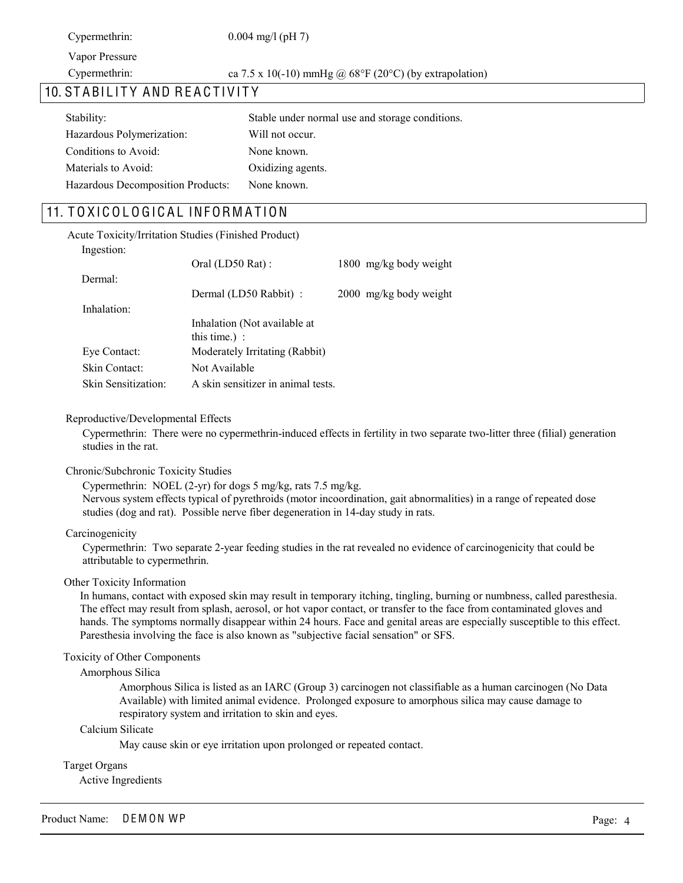Cypermethrin: 0.004 mg/l (pH 7)

Vapor Pressure

Cypermethrin: ca  $7.5 \times 10(-10)$  mmHg @  $68^{\circ}F(20^{\circ}C)$  (by extrapolation)

### 10. STABILITY AND REACTIVITY

| Stability:                        | Stable under normal use and storage conditions. |
|-----------------------------------|-------------------------------------------------|
| Hazardous Polymerization:         | Will not occur.                                 |
| Conditions to Avoid:              | None known.                                     |
| Materials to Avoid:               | Oxidizing agents.                               |
| Hazardous Decomposition Products: | None known.                                     |

### 11. TOXICOLOGICAL INFORMATION

|                     | <b>Acute Toxicity/Irritation Studies (Finished Product)</b> |                        |
|---------------------|-------------------------------------------------------------|------------------------|
| Ingestion:          |                                                             |                        |
|                     | Oral (LD50 Rat):                                            | 1800 mg/kg body weight |
| Dermal:             |                                                             |                        |
|                     | Dermal (LD50 Rabbit) :                                      | 2000 mg/kg body weight |
| Inhalation:         |                                                             |                        |
|                     | Inhalation (Not available at<br>this time.) :               |                        |
| Eye Contact:        | Moderately Irritating (Rabbit)                              |                        |
| Skin Contact:       | Not Available                                               |                        |
| Skin Sensitization: | A skin sensitizer in animal tests.                          |                        |

#### Reproductive/Developmental Effects

Cypermethrin: There were no cypermethrin-induced effects in fertility in two separate two-litter three (filial) generation studies in the rat.

#### Chronic/Subchronic Toxicity Studies

Cypermethrin: NOEL (2-yr) for dogs 5 mg/kg, rats 7.5 mg/kg. Nervous system effects typical of pyrethroids (motor incoordination, gait abnormalities) in a range of repeated dose studies (dog and rat). Possible nerve fiber degeneration in 14-day study in rats.

#### Carcinogenicity

Cypermethrin: Two separate 2-year feeding studies in the rat revealed no evidence of carcinogenicity that could be attributable to cypermethrin.

#### Other Toxicity Information

In humans, contact with exposed skin may result in temporary itching, tingling, burning or numbness, called paresthesia. The effect may result from splash, aerosol, or hot vapor contact, or transfer to the face from contaminated gloves and hands. The symptoms normally disappear within 24 hours. Face and genital areas are especially susceptible to this effect. Paresthesia involving the face is also known as "subjective facial sensation" or SFS.

#### Toxicity of Other Components

#### Amorphous Silica

Amorphous Silica is listed as an IARC (Group 3) carcinogen not classifiable as a human carcinogen (No Data Available) with limited animal evidence. Prolonged exposure to amorphous silica may cause damage to respiratory system and irritation to skin and eyes.

#### Calcium Silicate

May cause skin or eye irritation upon prolonged or repeated contact.

#### Target Organs

Active Ingredients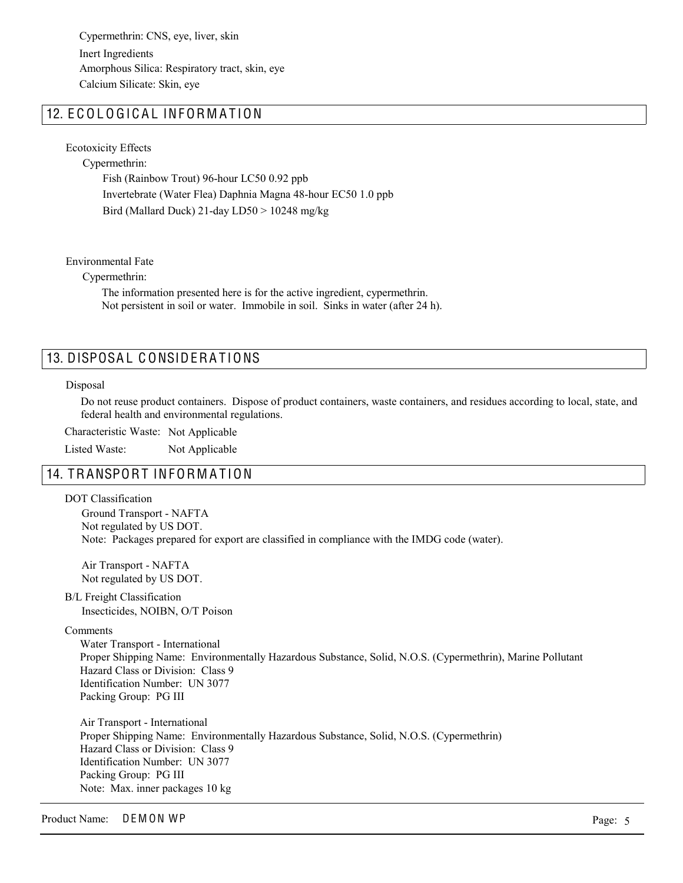Inert Ingredients Cypermethrin: CNS, eye, liver, skin Amorphous Silica: Respiratory tract, skin, eye Calcium Silicate: Skin, eye

### 12. ECOLOGICAL INFORMATION

Ecotoxicity Effects

Cypermethrin:

Fish (Rainbow Trout) 96-hour LC50 0.92 ppb Invertebrate (Water Flea) Daphnia Magna 48-hour EC50 1.0 ppb Bird (Mallard Duck) 21-day LD50 > 10248 mg/kg

Environmental Fate

Cypermethrin:

The information presented here is for the active ingredient, cypermethrin. Not persistent in soil or water. Immobile in soil. Sinks in water (after 24 h).

### 13. DISPOSAL CONSIDERATIONS

#### Disposal

Do not reuse product containers. Dispose of product containers, waste containers, and residues according to local, state, and federal health and environmental regulations.

Characteristic Waste: Not Applicable

Listed Waste: Not Applicable

### 14. TRANSPORT INFORMATION

DOT Classification

Ground Transport - NAFTA Not regulated by US DOT. Note: Packages prepared for export are classified in compliance with the IMDG code (water).

Air Transport - NAFTA Not regulated by US DOT.

B/L Freight Classification Insecticides, NOIBN, O/T Poison

Comments

Water Transport - International Proper Shipping Name: Environmentally Hazardous Substance, Solid, N.O.S. (Cypermethrin), Marine Pollutant Hazard Class or Division: Class 9 Identification Number: UN 3077 Packing Group: PG III

Air Transport - International Proper Shipping Name: Environmentally Hazardous Substance, Solid, N.O.S. (Cypermethrin) Hazard Class or Division: Class 9 Identification Number: UN 3077 Packing Group: PG III Note: Max. inner packages 10 kg

Product Name: DEMON WP Page: 5